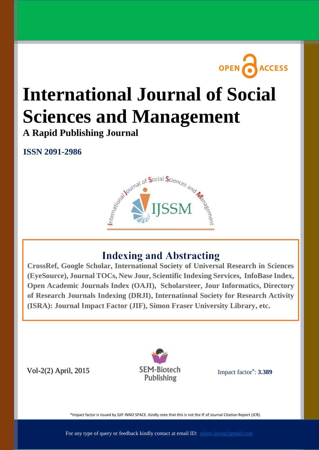

# **International Journal of Social Sciences and Management**

**A Rapid Publishing Journal**

**ISSN 2091-2986**



# **Indexing and Abstracting**

**Available online at: (EyeSource), Journal TOCs, New Jour, Scientific Indexing Services, InfoBase Index,** Open Academic Journals Index [\(OAJI\), Scholars](http://www.ijssm.org/)teer, Jour Informatics, Directory of Research Journals Indexing (DRJI), International Society for Research Activity  $\frac{1}{2}$ **CrossRef, Google Scholar, International Society of Universal Research in Sciences (ISRA): Journal Impact Factor (JIF), Simon Fraser University Library, etc.**

Vol-2(2) April, 2015



[Impact factor](http://www.sjifactor.inno-space.org/passport.php?id=1574)**\*** : **3.389**

\*Impact factor is issued by SJIF INNO SPACE. Kindly note that this is not the IF of Journal Citation Report (JCR).

For any type of query or feedback kindly contact at email ID: [editor.ijssm@gmail.com](mailto:editor.ijssm@gmail.com)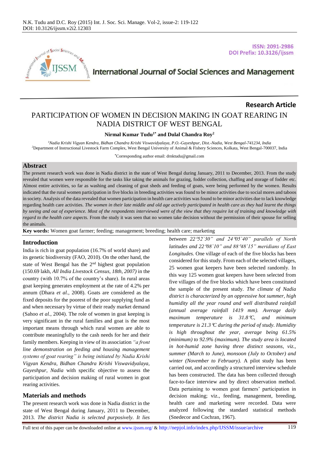

**Research Article**

# **International Journal of Social Sciences and Management**

# PARTICIPATION OF WOMEN IN DECISION MAKING IN GOAT REARING IN NADIA DISTRICT OF WEST BENGAL

#### **Nirmal Kumar Tudu1\* and Dulal Chandra Roy<sup>2</sup>**

*<sup>1</sup>Nadia Krishi Vigyan Kendra, Bidhan Chandra Krishi Viswavidyalaya, P.O.-Gayeshpur, Dist.-Nadia, West Bengal-741234, India <sup>2</sup>*Department of Instructional Livestock Farm Complex, West Bengal University of Animal & Fishery Sciences, Kolkata, West Bengal-700037, India

**\***Corresponding author email: [drnktudu@gmail.com](mailto:drnktudu@gmail.com)

## **Abstract**

The present research work was done in Nadia district in the state of West Bengal during January, 2011 to December, 2013. From the study revealed that women were responsible for the tasks like taking the animals for grazing, fodder collection, chaffing and storage of fodder etc. Almost entire activities, so far as washing and cleaning of goat sheds and feeding of goats, were being performed by the women. Results indicated that the rural women participation in five blocks in breeding activities was found to be minor activities due to social mores and taboos in society. Analysis of the data revealed that women participation in health care activities was found to be minor activities due to lack knowledge regarding health care activities. *The women in their late middle and old age actively participated in health care as they had learnt the things by seeing and out of experience. Most of the respondents interviewed were of the view that they require lot of training and knowledge with regard to the health care aspects.* From the study it was seen that no women take decision without the permission of their spouse for selling the animals.

**Key words:** Women goat farmer; feeding; management; breeding; health care; marketing

## **Introduction**

India is rich in goat population (16.7% of world share) and its genetic biodiversity (FAO, 2010). On the other hand, the state of West Bengal has the  $2<sup>nd</sup>$  highest goat population (150.69 lakh, *All India Livestock Census, 18th, 2007)* in the country (with 10.7% of the country's share). In rural areas goat keeping generates employment at the rate of 4.2% per annum (Dhara *et al.*, 2008). Goats are considered as the fixed deposits for the poorest of the poor supplying fund as and when necessary by virtue of their ready market demand (Sahoo *et al.*, 2004). The role of women in goat keeping is very significant in the rural families and goat is the most important means through which rural women are able to contribute meaningfully to the cash needs for her and their family members. Keeping in view of its association *"a front line demonstration on feeding and housing management systems of goat rearing" is being initiated by Nadia Krishi Vigyan Kendra, Bidhan Chandra Krishi Viswavidyalaya, Gayeshpur, Nadia* with specific objective to assess the participation and decision making of rural women in goat rearing activities.

## **Materials and methods**

The present research work was done in Nadia district in the state of West Bengal during January, 2011 to December, 2013. *The district Nadia is selected purposively. It lies* 

*between 2252`30" and 2405`40" parallels of North latitudes and 2208`10" and 8848`15" meridians of East Longitudes.* One village of each of the five blocks has been considered for this study. From each of the selected villages, 25 women goat keepers have been selected randomly. In this way 125 women goat keepers have been selected from five villages of the five blocks which have been constituted the sample of the present study. *The climate of Nadia district is characterized by an oppressive hot summer, high humidity all the year round and well distributed rainfall (annual average rainfall 1419 mm). Average daily maximum temperature is 31.8C, and minimum temperature is 21.3C during the period of study. Humidity is high throughout the year, average being 61.5% (minimum) to 92.9% (maximum). The study area is located in hot-humid zone having three distinct seasons, viz., summer (March to June), monsoon (July to October) and winter (November to February).* A pilot study has been carried out, and accordingly a structured interview schedule has been constructed. The data has been collected through face-to-face interview and by direct observation method. Data pertaining to women goat farmers' participation in decision making; viz., feeding, management, breeding, health care and marketing were recorded. Data were analyzed following the standard statistical methods (Snedecor and Cochran, 1967).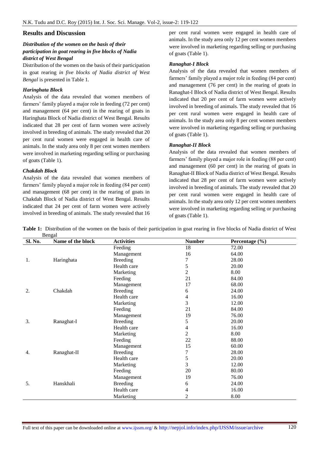#### **Results and Discussion**

# *Distribution of the women on the basis of their participation in goat rearing in five blocks of Nadia district of West Bengal*

Distribution of the women on the basis of their participation in goat rearing *in five blocks of Nadia district of West Bengal* is presented in Table 1.

#### *Haringhata Block*

Analysis of the data revealed that women members of farmers' family played a major role in feeding (72 per cent) and management (64 per cent) in the rearing of goats in Haringhata Block of Nadia district of West Bengal. Results indicated that 28 per cent of farm women were actively involved in breeding of animals. The study revealed that 20 per cent rural women were engaged in health care of animals. In the study area only 8 per cent women members were involved in marketing regarding selling or purchasing of goats (Table 1).

#### *Chakdah Block*

Analysis of the data revealed that women members of farmers' family played a major role in feeding (84 per cent) and management (68 per cent) in the rearing of goats in Chakdah Block of Nadia district of West Bengal. Results indicated that 24 per cent of farm women were actively involved in breeding of animals. The study revealed that 16

per cent rural women were engaged in health care of animals. In the study area only 12 per cent women members were involved in marketing regarding selling or purchasing of goats (Table 1).

#### *Ranaghat-I Block*

Analysis of the data revealed that women members of farmers' family played a major role in feeding (84 per cent) and management (76 per cent) in the rearing of goats in Ranaghat-I Block of Nadia district of West Bengal. Results indicated that 20 per cent of farm women were actively involved in breeding of animals. The study revealed that 16 per cent rural women were engaged in health care of animals. In the study area only 8 per cent women members were involved in marketing regarding selling or purchasing of goats (Table 1).

#### *Ranaghat-II Block*

Analysis of the data revealed that women members of farmers' family played a major role in feeding (88 per cent) and management (60 per cent) in the rearing of goats in Ranaghat-II Block of Nadia district of West Bengal. Results indicated that 28 per cent of farm women were actively involved in breeding of animals. The study revealed that 20 per cent rural women were engaged in health care of animals. In the study area only 12 per cent women members were involved in marketing regarding selling or purchasing of goats (Table 1).

| <b>Table 1:</b> Distribution of the women on the basis of their participation in goat rearing in five blocks of Nadia district of West |  |  |  |  |  |  |  |
|----------------------------------------------------------------------------------------------------------------------------------------|--|--|--|--|--|--|--|
| Bengal                                                                                                                                 |  |  |  |  |  |  |  |

| Sl. No. | Name of the block | <b>Activities</b> | <b>Number</b>  | Percentage $(\% )$ |  |  |
|---------|-------------------|-------------------|----------------|--------------------|--|--|
|         |                   | Feeding           | 18             | 72.00              |  |  |
| 1.      |                   | Management        | 16             | 64.00              |  |  |
|         | Haringhata        | <b>Breeding</b>   | 7              | 28.00              |  |  |
|         |                   | Health care       | 5              | 20.00              |  |  |
|         |                   | Marketing         | $\overline{c}$ | 8.00               |  |  |
| 2.      |                   | Feeding           | 21             | 84.00              |  |  |
|         |                   | Management        | 17             | 68.00              |  |  |
|         | Chakdah           | <b>Breeding</b>   | 6              | 24.00              |  |  |
|         |                   | Health care       | 4              | 16.00              |  |  |
|         |                   | Marketing         | 3              | 12.00              |  |  |
|         |                   | Feeding           | 21             | 84.00              |  |  |
| 3.      |                   | Management        | 19             | 76.00              |  |  |
|         | Ranaghat-I        | <b>Breeding</b>   | 5              | 20.00              |  |  |
|         |                   | Health care       | 4              | 16.00              |  |  |
|         |                   | Marketing         | 2              | 8.00               |  |  |
| 4.      |                   | Feeding           | 22             | 88.00              |  |  |
|         |                   | Management        | 15             | 60.00              |  |  |
|         | Ranaghat-II       | <b>Breeding</b>   | 7              | 28.00              |  |  |
|         |                   | Health care       | 5              | 20.00              |  |  |
|         |                   | Marketing         | 3              | 12.00              |  |  |
| 5.      |                   | Feeding           | 20             | 80.00              |  |  |
|         |                   | Management        | 19             | 76.00              |  |  |
|         | Hanskhali         | <b>Breeding</b>   | 6              | 24.00              |  |  |
|         |                   | Health care       | 4              | 16.00              |  |  |
|         |                   | Marketing         | 2              | 8.00               |  |  |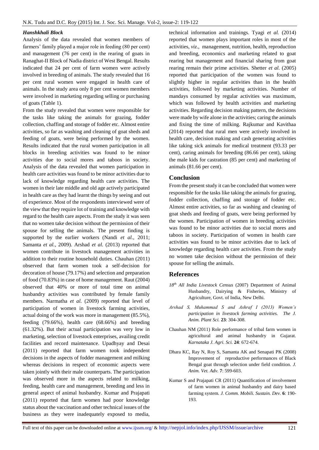#### *Hanshkhali Block*

Analysis of the data revealed that women members of farmers' family played a major role in feeding (80 per cent) and management (76 per cent) in the rearing of goats in Ranaghat-II Block of Nadia district of West Bengal. Results indicated that 24 per cent of farm women were actively involved in breeding of animals. The study revealed that 16 per cent rural women were engaged in health care of animals. In the study area only 8 per cent women members were involved in marketing regarding selling or purchasing of goats (Table 1).

From the study revealed that women were responsible for the tasks like taking the animals for grazing, fodder collection, chaffing and storage of fodder etc. Almost entire activities, so far as washing and cleaning of goat sheds and feeding of goats, were being performed by the women. Results indicated that the rural women participation in all blocks in breeding activities was found to be minor activities due to social mores and taboos in society. Analysis of the data revealed that women participation in health care activities was found to be minor activities due to lack of knowledge regarding health care activities. The women in their late middle and old age actively participated in health care as they had learnt the things by seeing and out of experience. Most of the respondents interviewed were of the view that they require lot of training and knowledge with regard to the health care aspects. From the study it was seen that no women take decision without the permission of their spouse for selling the animals. The present finding is supported by the earlier workers (Nandi *et al.*, 2011; Samanta *et al.*, 2009). Arshad *et al.* (2013) reported that women contribute in livestock management activities in addition to their routine household duties. Chauhan (2011) observed that farm women took a self-decision for decoration of house (79.17%) and selection and preparation of food (70.83%) in case of home management. Raut (2004) observed that 40% or more of total time on animal husbandry activities was contributed by female family members. Narmatha *et al.* (2009) reported that level of participation of women in livestock farming activities*,* actual doing of the work was more in management (85.5%), feeding (79.66%), health care (68.66%) and breeding (61.32%). But their actual participation was very low in marketing, selection of livestock enterprises, availing credit facilities and record maintenance. Upadhyay and Desai (2011) reported that farm women took independent decisions in the aspects of fodder management and milking whereas decisions in respect of economic aspects were taken jointly with their male counterparts. The participation was observed more in the aspects related to milking, feeding, health care and management, breeding and less in general aspect of animal husbandry. Kumar and Prajapati (2011) reported that farm women had poor knowledge status about the vaccination and other technical issues of the business as they were inadequately exposed to media,

technical information and trainings. Tyagi *et al.* (2014) reported that women plays important roles in most of the activities, *viz*., management, nutrition, health, reproduction and breeding, economics and marketing related to goat rearing but management and financial sharing from goat rearing remain their prime activities. Shetter *et al.* (2005) reported that participation of the women was found to slightly higher in regular activities than in the health activities, followed by marketing activities. Number of mandays consumed by regular activities was maximum, which was followed by health activities and marketing activities. Regarding decision making pattern, the decisions were made by wife alone in the activities; caring the animals and fixing the time of milking. Rajkumar and Kavithaa (2014) reported that rural men were actively involved in health care, decision making and cash generating activities like taking sick animals for medical treatment (93.33 per cent), caring animals for breeding (86.66 per cent), taking the male kids for castration (85 per cent) and marketing of animals (81.66 per cent).

# **Conclusion**

From the present study it can be concluded that women were responsible for the tasks like taking the animals for grazing, fodder collection, chaffing and storage of fodder etc. Almost entire activities, so far as washing and cleaning of goat sheds and feeding of goats, were being performed by the women. Participation of women in breeding activities was found to be minor activities due to social mores and taboos in society. Participation of women in health care activities was found to be minor activities due to lack of knowledge regarding health care activities. From the study no women take decision without the permission of their spouse for selling the animals.

## **References**

- *18th All India Livestock Census* (2007) Department of Animal Husbandry, Dairying & Fisheries, Ministry of Agriculture, Govt. of India, New Delhi.
- *Arshad S, Muhammad S and Ashraf I (2013) Women's participation in livestock farming activities. The J. Anim. Plant Sci.* **23**: 304-308.
- Chauhan NM (2011) Role performance of tribal farm women in agricultural and animal husbandry in Gujarat. *Karnataka J. Agri. Sci.* **24**: 672-674.
- Dhara KC, Ray N, Roy S, Samanta AK and Senapati PK (2008) Improvement of reproductive performances of Black Bengal goat through selection under field condition. *J. Anim. Vet. Adv.* **7**: 599-603.
- Kumar S and Prajapati CR (2011) Quantification of involvement of farm women in animal husbandry and dairy based farming system. *J. Comm. Mobili. Sustain. Dev.* **6**: 190- 193.